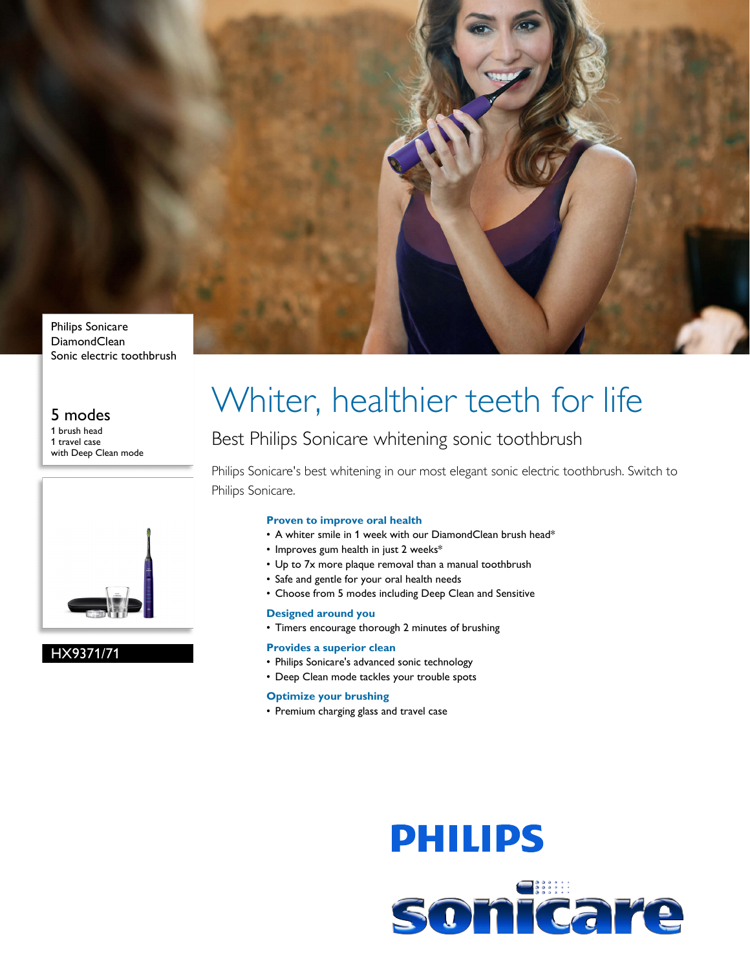

## **DiamondClean** Sonic electric toothbrush

## 5 modes

1 brush head 1 travel case with Deep Clean mode



### HX9371/71

# Whiter, healthier teeth for life

## Best Philips Sonicare whitening sonic toothbrush

Philips Sonicare's best whitening in our most elegant sonic electric toothbrush. Switch to Philips Sonicare.

#### **Proven to improve oral health**

- A whiter smile in 1 week with our DiamondClean brush head\*
- Improves gum health in just 2 weeks\*
- Up to 7x more plaque removal than a manual toothbrush
- Safe and gentle for your oral health needs
- Choose from 5 modes including Deep Clean and Sensitive

#### **Designed around you**

• Timers encourage thorough 2 minutes of brushing

#### **Provides a superior clean**

- Philips Sonicare's advanced sonic technology
- Deep Clean mode tackles your trouble spots

#### **Optimize your brushing**

• Premium charging glass and travel case

# **PHILIPS** sonicare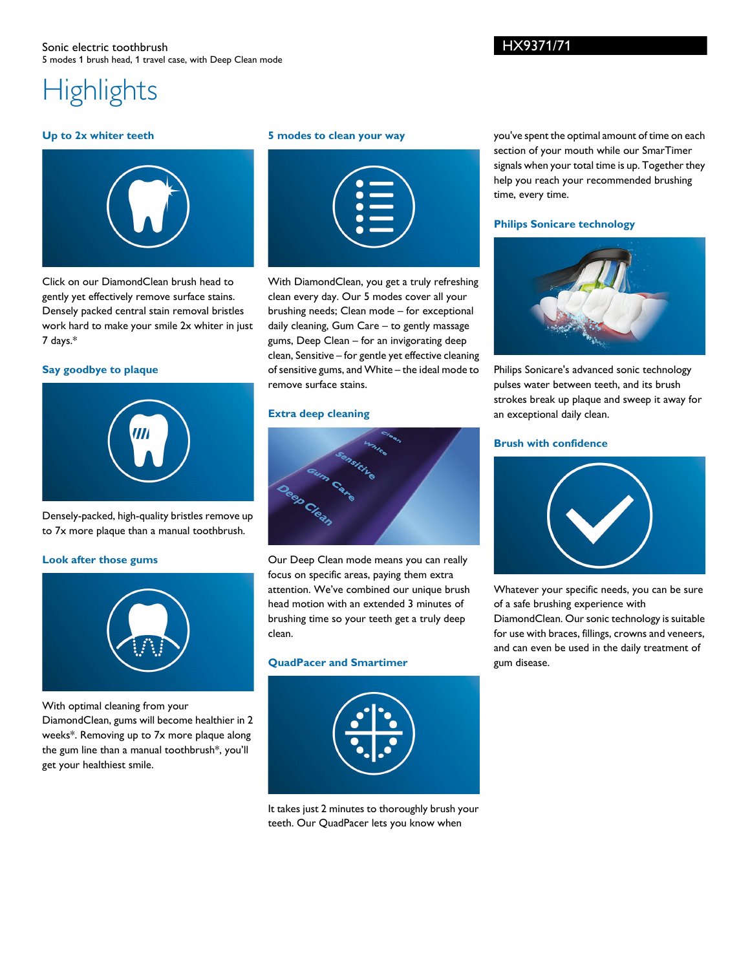#### Sonic electric toothbrush 5 modes 1 brush head, 1 travel case, with Deep Clean mode

# **Highlights**

#### **Up to 2x whiter teeth**



Click on our DiamondClean brush head to gently yet effectively remove surface stains. Densely packed central stain removal bristles work hard to make your smile 2x whiter in just 7 days.\*

#### **Say goodbye to plaque**



Densely-packed, high-quality bristles remove up to 7x more plaque than a manual toothbrush.

#### **Look after those gums**



With optimal cleaning from your

DiamondClean, gums will become healthier in 2 weeks\*. Removing up to 7x more plaque along the gum line than a manual toothbrush\*, you'll get your healthiest smile.

#### **5 modes to clean your way**

|  | $\overline{\phantom{0}}$<br>$\bullet$                |                                                                                                                                                                                                                                |  |
|--|------------------------------------------------------|--------------------------------------------------------------------------------------------------------------------------------------------------------------------------------------------------------------------------------|--|
|  | $\bullet$ $\blacksquare$<br>$\bullet$ $\blacksquare$ |                                                                                                                                                                                                                                |  |
|  |                                                      | and the contract of the contract of the contract of the contract of the contract of the contract of the contract of the contract of the contract of the contract of the contract of the contract of the contract of the contra |  |

With DiamondClean, you get a truly refreshing clean every day. Our 5 modes cover all your brushing needs; Clean mode – for exceptional daily cleaning, Gum Care – to gently massage gums, Deep Clean – for an invigorating deep clean, Sensitive – for gentle yet effective cleaning of sensitive gums, and White – the ideal mode to remove surface stains.

#### **Extra deep cleaning**



Our Deep Clean mode means you can really focus on specific areas, paying them extra attention. We've combined our unique brush head motion with an extended 3 minutes of brushing time so your teeth get a truly deep clean.

#### **QuadPacer and Smartimer**



It takes just 2 minutes to thoroughly brush your teeth. Our QuadPacer lets you know when

you've spent the optimal amount of time on each section of your mouth while our SmarTimer signals when your total time is up. Together they help you reach your recommended brushing time, every time.

#### **Philips Sonicare technology**



Philips Sonicare's advanced sonic technology pulses water between teeth, and its brush strokes break up plaque and sweep it away for an exceptional daily clean.

#### **Brush with confidence**



Whatever your specific needs, you can be sure of a safe brushing experience with DiamondClean. Our sonic technology is suitable for use with braces, fillings, crowns and veneers, and can even be used in the daily treatment of gum disease.